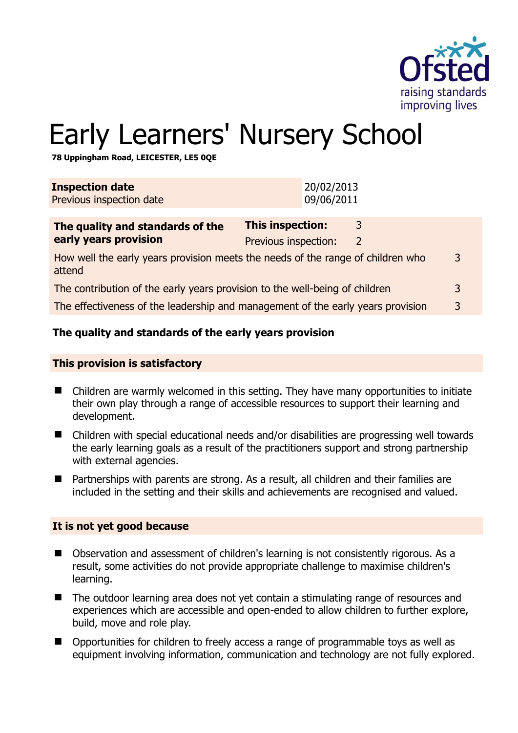

# Early Learners' Nursery School

**78 Uppingham Road, LEICESTER, LE5 0QE** 

| <b>Inspection date</b><br>Previous inspection date                                             | 20/02/2013<br>09/06/2011                 |        |   |
|------------------------------------------------------------------------------------------------|------------------------------------------|--------|---|
| The quality and standards of the<br>early years provision                                      | This inspection:<br>Previous inspection: | 3<br>2 |   |
| How well the early years provision meets the needs of the range of children who<br>3<br>attend |                                          |        |   |
| The contribution of the early years provision to the well-being of children                    |                                          |        | 3 |
| The effectiveness of the leadership and management of the early years provision                |                                          |        | 3 |
|                                                                                                |                                          |        |   |

# **The quality and standards of the early years provision**

#### **This provision is satisfactory**

- Children are warmly welcomed in this setting. They have many opportunities to initiate their own play through a range of accessible resources to support their learning and development.
- Children with special educational needs and/or disabilities are progressing well towards the early learning goals as a result of the practitioners support and strong partnership with external agencies.
- Partnerships with parents are strong. As a result, all children and their families are included in the setting and their skills and achievements are recognised and valued.

#### **It is not yet good because**

- Observation and assessment of children's learning is not consistently rigorous. As a result, some activities do not provide appropriate challenge to maximise children's learning.
- The outdoor learning area does not yet contain a stimulating range of resources and experiences which are accessible and open-ended to allow children to further explore, build, move and role play.
- Opportunities for children to freely access a range of programmable toys as well as equipment involving information, communication and technology are not fully explored.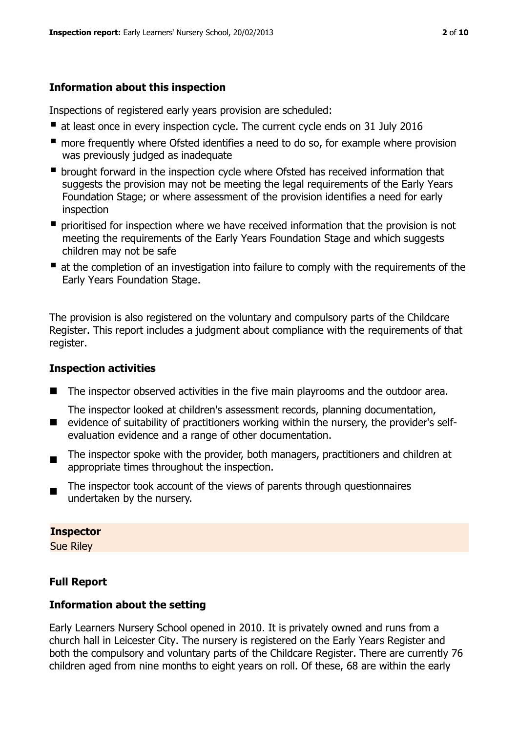# **Information about this inspection**

Inspections of registered early years provision are scheduled:

- at least once in every inspection cycle. The current cycle ends on 31 July 2016
- **n** more frequently where Ofsted identifies a need to do so, for example where provision was previously judged as inadequate
- **•** brought forward in the inspection cycle where Ofsted has received information that suggests the provision may not be meeting the legal requirements of the Early Years Foundation Stage; or where assessment of the provision identifies a need for early inspection
- **P** prioritised for inspection where we have received information that the provision is not meeting the requirements of the Early Years Foundation Stage and which suggests children may not be safe
- at the completion of an investigation into failure to comply with the requirements of the Early Years Foundation Stage.

The provision is also registered on the voluntary and compulsory parts of the Childcare Register. This report includes a judgment about compliance with the requirements of that register.

# **Inspection activities**

- The inspector observed activities in the five main playrooms and the outdoor area.
- $\blacksquare$ The inspector looked at children's assessment records, planning documentation, evidence of suitability of practitioners working within the nursery, the provider's selfevaluation evidence and a range of other documentation.
- The inspector spoke with the provider, both managers, practitioners and children at appropriate times throughout the inspection.
- The inspector took account of the views of parents through questionnaires undertaken by the nursery.

#### **Inspector**

Sue Riley

# **Full Report**

# **Information about the setting**

Early Learners Nursery School opened in 2010. It is privately owned and runs from a church hall in Leicester City. The nursery is registered on the Early Years Register and both the compulsory and voluntary parts of the Childcare Register. There are currently 76 children aged from nine months to eight years on roll. Of these, 68 are within the early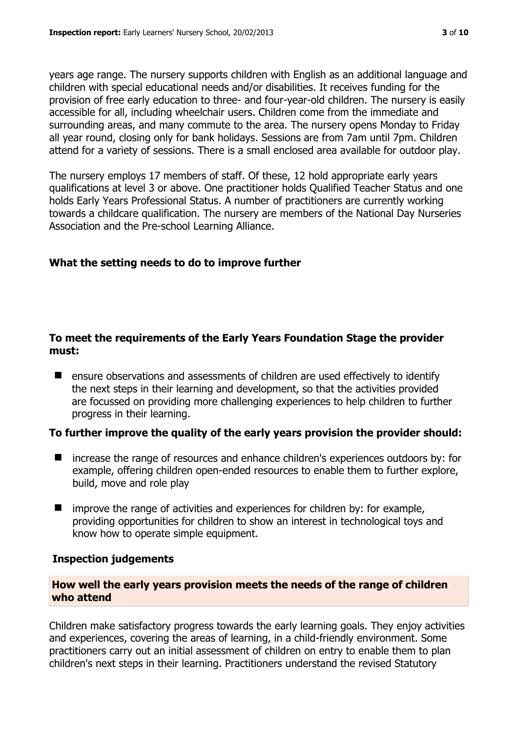years age range. The nursery supports children with English as an additional language and children with special educational needs and/or disabilities. It receives funding for the provision of free early education to three- and four-year-old children. The nursery is easily accessible for all, including wheelchair users. Children come from the immediate and surrounding areas, and many commute to the area. The nursery opens Monday to Friday all year round, closing only for bank holidays. Sessions are from 7am until 7pm. Children attend for a variety of sessions. There is a small enclosed area available for outdoor play.

The nursery employs 17 members of staff. Of these, 12 hold appropriate early years qualifications at level 3 or above. One practitioner holds Qualified Teacher Status and one holds Early Years Professional Status. A number of practitioners are currently working towards a childcare qualification. The nursery are members of the National Day Nurseries Association and the Pre-school Learning Alliance.

# **What the setting needs to do to improve further**

## **To meet the requirements of the Early Years Foundation Stage the provider must:**

■ ensure observations and assessments of children are used effectively to identify the next steps in their learning and development, so that the activities provided are focussed on providing more challenging experiences to help children to further progress in their learning.

# **To further improve the quality of the early years provision the provider should:**

- increase the range of resources and enhance children's experiences outdoors by: for example, offering children open-ended resources to enable them to further explore, build, move and role play
- $\blacksquare$  improve the range of activities and experiences for children by: for example, providing opportunities for children to show an interest in technological toys and know how to operate simple equipment.

#### **Inspection judgements**

### **How well the early years provision meets the needs of the range of children who attend**

Children make satisfactory progress towards the early learning goals. They enjoy activities and experiences, covering the areas of learning, in a child-friendly environment. Some practitioners carry out an initial assessment of children on entry to enable them to plan children's next steps in their learning. Practitioners understand the revised Statutory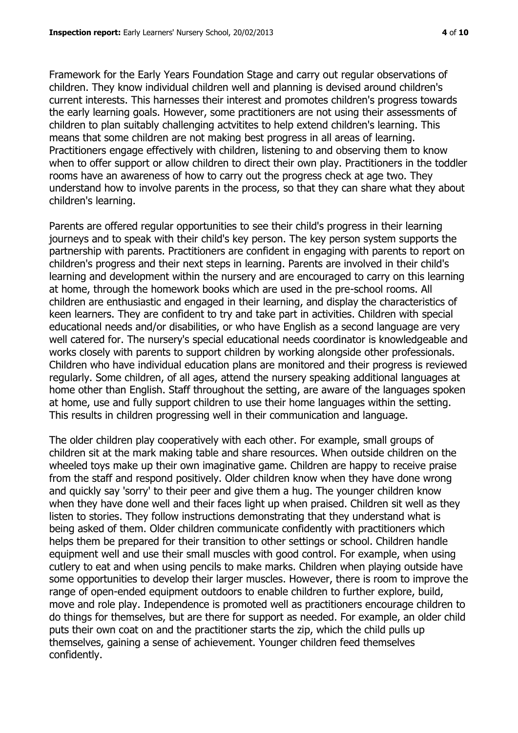Framework for the Early Years Foundation Stage and carry out regular observations of children. They know individual children well and planning is devised around children's current interests. This harnesses their interest and promotes children's progress towards the early learning goals. However, some practitioners are not using their assessments of children to plan suitably challenging actvitites to help extend children's learning. This means that some children are not making best progress in all areas of learning. Practitioners engage effectively with children, listening to and observing them to know when to offer support or allow children to direct their own play. Practitioners in the toddler rooms have an awareness of how to carry out the progress check at age two. They understand how to involve parents in the process, so that they can share what they about children's learning.

Parents are offered regular opportunities to see their child's progress in their learning journeys and to speak with their child's key person. The key person system supports the partnership with parents. Practitioners are confident in engaging with parents to report on children's progress and their next steps in learning. Parents are involved in their child's learning and development within the nursery and are encouraged to carry on this learning at home, through the homework books which are used in the pre-school rooms. All children are enthusiastic and engaged in their learning, and display the characteristics of keen learners. They are confident to try and take part in activities. Children with special educational needs and/or disabilities, or who have English as a second language are very well catered for. The nursery's special educational needs coordinator is knowledgeable and works closely with parents to support children by working alongside other professionals. Children who have individual education plans are monitored and their progress is reviewed regularly. Some children, of all ages, attend the nursery speaking additional languages at home other than English. Staff throughout the setting, are aware of the languages spoken at home, use and fully support children to use their home languages within the setting. This results in children progressing well in their communication and language.

The older children play cooperatively with each other. For example, small groups of children sit at the mark making table and share resources. When outside children on the wheeled toys make up their own imaginative game. Children are happy to receive praise from the staff and respond positively. Older children know when they have done wrong and quickly say 'sorry' to their peer and give them a hug. The younger children know when they have done well and their faces light up when praised. Children sit well as they listen to stories. They follow instructions demonstrating that they understand what is being asked of them. Older children communicate confidently with practitioners which helps them be prepared for their transition to other settings or school. Children handle equipment well and use their small muscles with good control. For example, when using cutlery to eat and when using pencils to make marks. Children when playing outside have some opportunities to develop their larger muscles. However, there is room to improve the range of open-ended equipment outdoors to enable children to further explore, build, move and role play. Independence is promoted well as practitioners encourage children to do things for themselves, but are there for support as needed. For example, an older child puts their own coat on and the practitioner starts the zip, which the child pulls up themselves, gaining a sense of achievement. Younger children feed themselves confidently.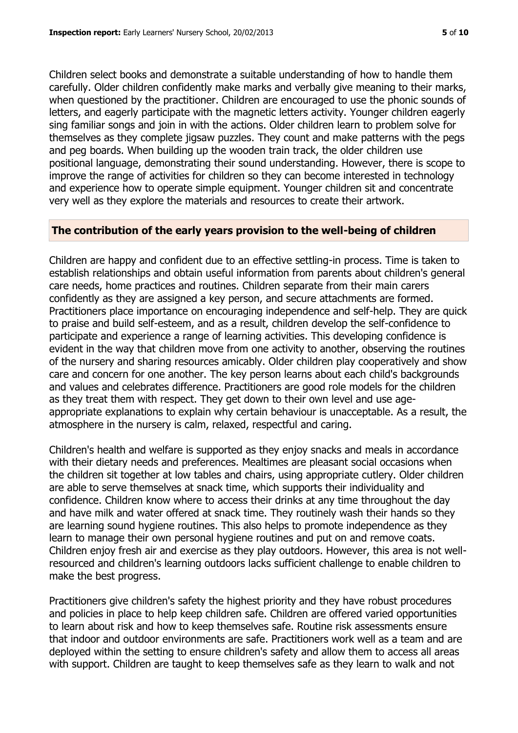Children select books and demonstrate a suitable understanding of how to handle them carefully. Older children confidently make marks and verbally give meaning to their marks, when questioned by the practitioner. Children are encouraged to use the phonic sounds of letters, and eagerly participate with the magnetic letters activity. Younger children eagerly sing familiar songs and join in with the actions. Older children learn to problem solve for themselves as they complete jigsaw puzzles. They count and make patterns with the pegs and peg boards. When building up the wooden train track, the older children use positional language, demonstrating their sound understanding. However, there is scope to improve the range of activities for children so they can become interested in technology and experience how to operate simple equipment. Younger children sit and concentrate very well as they explore the materials and resources to create their artwork.

#### **The contribution of the early years provision to the well-being of children**

Children are happy and confident due to an effective settling-in process. Time is taken to establish relationships and obtain useful information from parents about children's general care needs, home practices and routines. Children separate from their main carers confidently as they are assigned a key person, and secure attachments are formed. Practitioners place importance on encouraging independence and self-help. They are quick to praise and build self-esteem, and as a result, children develop the self-confidence to participate and experience a range of learning activities. This developing confidence is evident in the way that children move from one activity to another, observing the routines of the nursery and sharing resources amicably. Older children play cooperatively and show care and concern for one another. The key person learns about each child's backgrounds and values and celebrates difference. Practitioners are good role models for the children as they treat them with respect. They get down to their own level and use ageappropriate explanations to explain why certain behaviour is unacceptable. As a result, the atmosphere in the nursery is calm, relaxed, respectful and caring.

Children's health and welfare is supported as they enjoy snacks and meals in accordance with their dietary needs and preferences. Mealtimes are pleasant social occasions when the children sit together at low tables and chairs, using appropriate cutlery. Older children are able to serve themselves at snack time, which supports their individuality and confidence. Children know where to access their drinks at any time throughout the day and have milk and water offered at snack time. They routinely wash their hands so they are learning sound hygiene routines. This also helps to promote independence as they learn to manage their own personal hygiene routines and put on and remove coats. Children enjoy fresh air and exercise as they play outdoors. However, this area is not wellresourced and children's learning outdoors lacks sufficient challenge to enable children to make the best progress.

Practitioners give children's safety the highest priority and they have robust procedures and policies in place to help keep children safe. Children are offered varied opportunities to learn about risk and how to keep themselves safe. Routine risk assessments ensure that indoor and outdoor environments are safe. Practitioners work well as a team and are deployed within the setting to ensure children's safety and allow them to access all areas with support. Children are taught to keep themselves safe as they learn to walk and not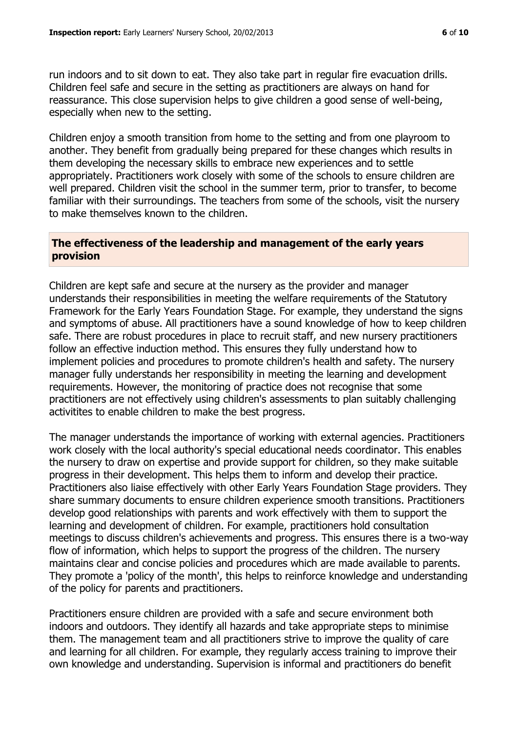run indoors and to sit down to eat. They also take part in regular fire evacuation drills. Children feel safe and secure in the setting as practitioners are always on hand for reassurance. This close supervision helps to give children a good sense of well-being, especially when new to the setting.

Children enjoy a smooth transition from home to the setting and from one playroom to another. They benefit from gradually being prepared for these changes which results in them developing the necessary skills to embrace new experiences and to settle appropriately. Practitioners work closely with some of the schools to ensure children are well prepared. Children visit the school in the summer term, prior to transfer, to become familiar with their surroundings. The teachers from some of the schools, visit the nursery to make themselves known to the children.

#### **The effectiveness of the leadership and management of the early years provision**

Children are kept safe and secure at the nursery as the provider and manager understands their responsibilities in meeting the welfare requirements of the Statutory Framework for the Early Years Foundation Stage. For example, they understand the signs and symptoms of abuse. All practitioners have a sound knowledge of how to keep children safe. There are robust procedures in place to recruit staff, and new nursery practitioners follow an effective induction method. This ensures they fully understand how to implement policies and procedures to promote children's health and safety. The nursery manager fully understands her responsibility in meeting the learning and development requirements. However, the monitoring of practice does not recognise that some practitioners are not effectively using children's assessments to plan suitably challenging activitites to enable children to make the best progress.

The manager understands the importance of working with external agencies. Practitioners work closely with the local authority's special educational needs coordinator. This enables the nursery to draw on expertise and provide support for children, so they make suitable progress in their development. This helps them to inform and develop their practice. Practitioners also liaise effectively with other Early Years Foundation Stage providers. They share summary documents to ensure children experience smooth transitions. Practitioners develop good relationships with parents and work effectively with them to support the learning and development of children. For example, practitioners hold consultation meetings to discuss children's achievements and progress. This ensures there is a two-way flow of information, which helps to support the progress of the children. The nursery maintains clear and concise policies and procedures which are made available to parents. They promote a 'policy of the month', this helps to reinforce knowledge and understanding of the policy for parents and practitioners.

Practitioners ensure children are provided with a safe and secure environment both indoors and outdoors. They identify all hazards and take appropriate steps to minimise them. The management team and all practitioners strive to improve the quality of care and learning for all children. For example, they regularly access training to improve their own knowledge and understanding. Supervision is informal and practitioners do benefit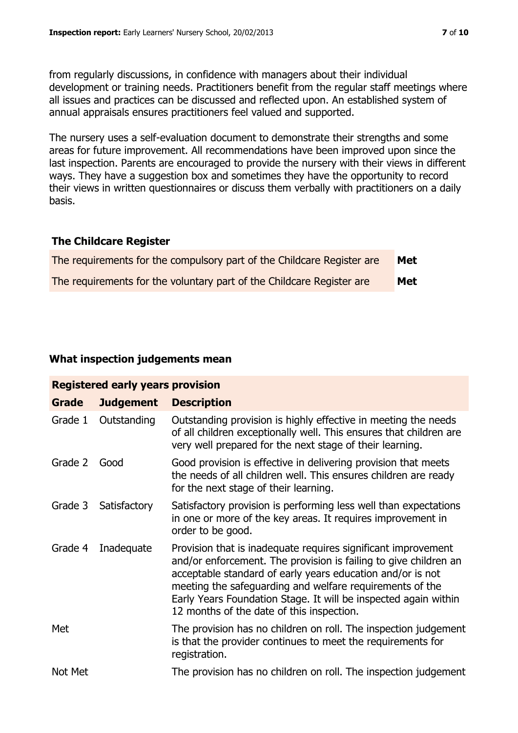from regularly discussions, in confidence with managers about their individual development or training needs. Practitioners benefit from the regular staff meetings where all issues and practices can be discussed and reflected upon. An established system of annual appraisals ensures practitioners feel valued and supported.

The nursery uses a self-evaluation document to demonstrate their strengths and some areas for future improvement. All recommendations have been improved upon since the last inspection. Parents are encouraged to provide the nursery with their views in different ways. They have a suggestion box and sometimes they have the opportunity to record their views in written questionnaires or discuss them verbally with practitioners on a daily basis.

### **The Childcare Register**

| The requirements for the compulsory part of the Childcare Register are | Met |
|------------------------------------------------------------------------|-----|
| The requirements for the voluntary part of the Childcare Register are  | Met |

# **What inspection judgements mean**

| <b>Registered early years provision</b> |                  |                                                                                                                                                                                                                                                                                                                                                                             |  |  |  |
|-----------------------------------------|------------------|-----------------------------------------------------------------------------------------------------------------------------------------------------------------------------------------------------------------------------------------------------------------------------------------------------------------------------------------------------------------------------|--|--|--|
| Grade                                   | <b>Judgement</b> | <b>Description</b>                                                                                                                                                                                                                                                                                                                                                          |  |  |  |
| Grade 1                                 | Outstanding      | Outstanding provision is highly effective in meeting the needs<br>of all children exceptionally well. This ensures that children are<br>very well prepared for the next stage of their learning.                                                                                                                                                                            |  |  |  |
| Grade 2                                 | Good             | Good provision is effective in delivering provision that meets<br>the needs of all children well. This ensures children are ready<br>for the next stage of their learning.                                                                                                                                                                                                  |  |  |  |
| Grade 3                                 | Satisfactory     | Satisfactory provision is performing less well than expectations<br>in one or more of the key areas. It requires improvement in<br>order to be good.                                                                                                                                                                                                                        |  |  |  |
| Grade 4                                 | Inadequate       | Provision that is inadequate requires significant improvement<br>and/or enforcement. The provision is failing to give children an<br>acceptable standard of early years education and/or is not<br>meeting the safeguarding and welfare requirements of the<br>Early Years Foundation Stage. It will be inspected again within<br>12 months of the date of this inspection. |  |  |  |
| Met                                     |                  | The provision has no children on roll. The inspection judgement<br>is that the provider continues to meet the requirements for<br>registration.                                                                                                                                                                                                                             |  |  |  |
| Not Met                                 |                  | The provision has no children on roll. The inspection judgement                                                                                                                                                                                                                                                                                                             |  |  |  |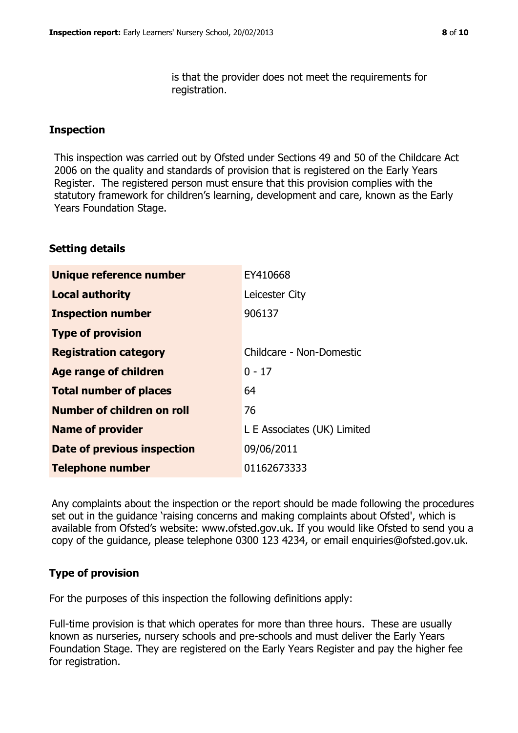is that the provider does not meet the requirements for registration.

### **Inspection**

This inspection was carried out by Ofsted under Sections 49 and 50 of the Childcare Act 2006 on the quality and standards of provision that is registered on the Early Years Register. The registered person must ensure that this provision complies with the statutory framework for children's learning, development and care, known as the Early Years Foundation Stage.

### **Setting details**

| Unique reference number       | EY410668                    |
|-------------------------------|-----------------------------|
| <b>Local authority</b>        | Leicester City              |
| <b>Inspection number</b>      | 906137                      |
| <b>Type of provision</b>      |                             |
| <b>Registration category</b>  | Childcare - Non-Domestic    |
| <b>Age range of children</b>  | $0 - 17$                    |
| <b>Total number of places</b> | 64                          |
| Number of children on roll    | 76                          |
| <b>Name of provider</b>       | L E Associates (UK) Limited |
| Date of previous inspection   | 09/06/2011                  |
| <b>Telephone number</b>       | 01162673333                 |

Any complaints about the inspection or the report should be made following the procedures set out in the guidance 'raising concerns and making complaints about Ofsted', which is available from Ofsted's website: www.ofsted.gov.uk. If you would like Ofsted to send you a copy of the guidance, please telephone 0300 123 4234, or email enquiries@ofsted.gov.uk.

# **Type of provision**

For the purposes of this inspection the following definitions apply:

Full-time provision is that which operates for more than three hours. These are usually known as nurseries, nursery schools and pre-schools and must deliver the Early Years Foundation Stage. They are registered on the Early Years Register and pay the higher fee for registration.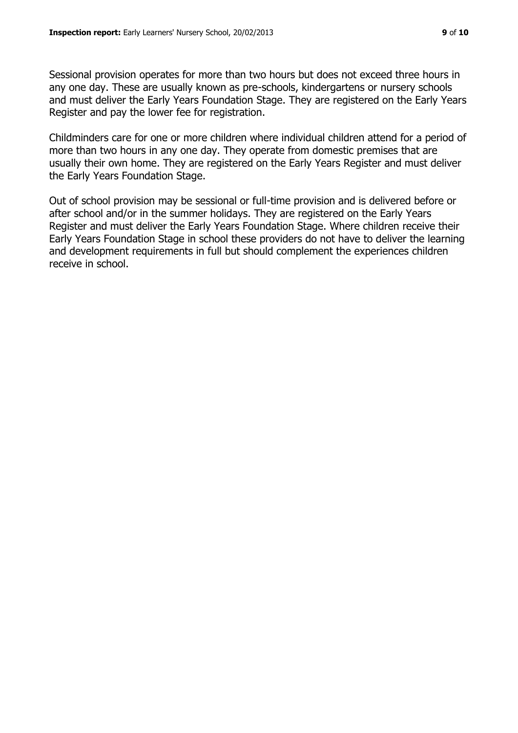Sessional provision operates for more than two hours but does not exceed three hours in any one day. These are usually known as pre-schools, kindergartens or nursery schools and must deliver the Early Years Foundation Stage. They are registered on the Early Years Register and pay the lower fee for registration.

Childminders care for one or more children where individual children attend for a period of more than two hours in any one day. They operate from domestic premises that are usually their own home. They are registered on the Early Years Register and must deliver the Early Years Foundation Stage.

Out of school provision may be sessional or full-time provision and is delivered before or after school and/or in the summer holidays. They are registered on the Early Years Register and must deliver the Early Years Foundation Stage. Where children receive their Early Years Foundation Stage in school these providers do not have to deliver the learning and development requirements in full but should complement the experiences children receive in school.